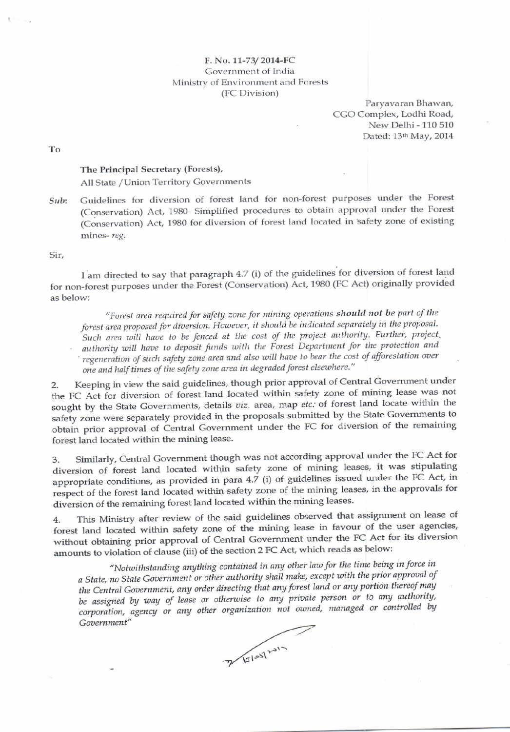## F. No. 11-73/2014-FC Government of India Ministry of Environment and Forests (FC Division)

Paryavaran Bhawan, CGO Complex, Lodhi Road, New Delhi - 110 510 Dated: 13th May, 2014

To

## The Principal Secretary (Forests), All State / Union Territory Governments

Guidelines for diversion of forest land for non-forest purposes under the Forest Sub: (Conservation) Act, 1980- Simplified procedures to obtain approval under the Forest (Conservation) Act, 1980 for diversion of forest land located in safety zone of existing mines-reg.

Sir.

I am directed to say that paragraph 4.7 (i) of the guidelines for diversion of forest land for non-forest purposes under the Forest (Conservation) Act, 1980 (FC Act) originally provided as below:

"Forest area required for safety zone for mining operations should not be part of the forest area proposed for diversion. However, it should be indicated separately in the proposal. Such area will have to be fenced at the cost of the project authority. Further, project, authority will have to deposit funds with the Forest Department for the protection and regeneration of such safety zone area and also will have to bear the cost of afforestation over one and half times of the safety zone area in degraded forest elsewhere."

Keeping in view the said guidelines, though prior approval of Central Government under  $2.$ the FC Act for diversion of forest land located within safety zone of mining lease was not sought by the State Governments, details viz. area, map etc. of forest land locate within the safety zone were separately provided in the proposals submitted by the State Governments to obtain prior approval of Central Government under the FC for diversion of the remaining forest land located within the mining lease.

Similarly, Central Government though was not according approval under the FC Act for 3. diversion of forest land located within safety zone of mining leases, it was stipulating appropriate conditions, as provided in para 4.7 (i) of guidelines issued under the FC Act, in respect of the forest land located within safety zone of the mining leases, in the approvals for diversion of the remaining forest land located within the mining leases.

This Ministry after review of the said guidelines observed that assignment on lease of 4. forest land located within safety zone of the mining lease in favour of the user agencies, without obtaining prior approval of Central Government under the FC Act for its diversion amounts to violation of clause (iii) of the section 2 FC Act, which reads as below:

"Notwithstanding anything contained in any other law for the time being in force in a State, no State Government or other authority shall make, except with the prior approval of the Central Government, any order directing that any forest land or any portion thereof may be assigned by way of lease or otherwise to any private person or to any authority, corporation, agency or any other organization not owned, managed or controlled by Government"

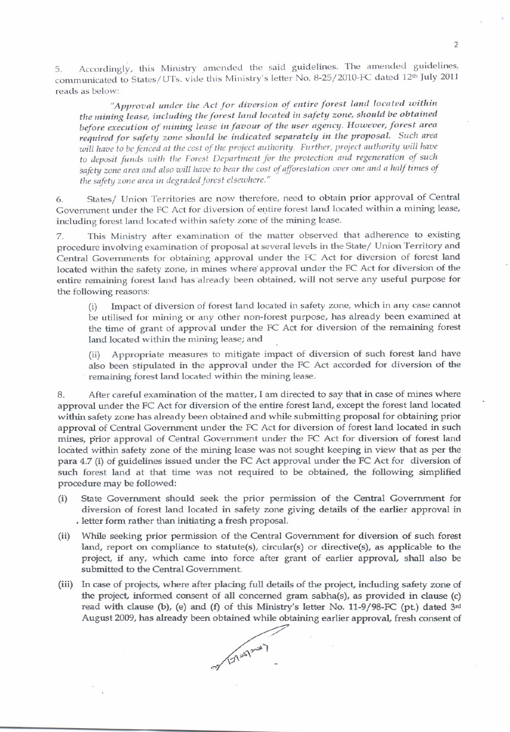Accordingly, this Ministry amended the said guidelines. The amended guidelines, 5. communicated to States/UTs. vide this Ministry's letter No. 8-25/2010-FC dated 12th July 2011 reads as below:

"Approval under the Act for diversion of entire forest land located within the mining lease, including the forest land located in safety zone, should be obtained before execution of mining lease in favour of the user agency. However, forest area required for safety zone should be indicated separately in the proposal. Such area will have to be fenced at the cost of the project authority. Further, project authority will have to deposit funds with the Forest Department for the protection and regeneration of such safety zone area and also will have to bear the cost of afforestation over one and a half times of the safety zone area in degraded forest elsewhere."

States/ Union Territories are now therefore, need to obtain prior approval of Central 6. Government under the FC Act for diversion of entire forest land located within a mining lease, including forest land located within safety zone of the mining lease.

This Ministry after examination of the matter observed that adherence to existing 7. procedure involving examination of proposal at several levels in the State/ Union Territory and Central Governments for obtaining approval under the FC Act for diversion of forest land located within the safety zone, in mines where approval under the FC Act for diversion of the entire remaining forest land has already been obtained, will not serve any useful purpose for the following reasons:

Impact of diversion of forest land located in safety zone, which in any case cannot  $(i)$ be utilised for mining or any other non-forest purpose, has already been examined at the time of grant of approval under the FC Act for diversion of the remaining forest land located within the mining lease; and

Appropriate measures to mitigate impact of diversion of such forest land have  $(ii)$ also been stipulated in the approval under the FC Act accorded for diversion of the remaining forest land located within the mining lease.

After careful examination of the matter, I am directed to say that in case of mines where 8. approval under the FC Act for diversion of the entire forest land, except the forest land located within safety zone has already been obtained and while submitting proposal for obtaining prior approval of Central Government under the FC Act for diversion of forest land located in such mines, prior approval of Central Government under the FC Act for diversion of forest land located within safety zone of the mining lease was not sought keeping in view that as per the para 4.7 (i) of guidelines issued under the FC Act approval under the FC Act for diversion of such forest land at that time was not required to be obtained, the following simplified procedure may be followed:

- State Government should seek the prior permission of the Central Government for  $(i)$ diversion of forest land located in safety zone giving details of the earlier approval in . letter form rather than initiating a fresh proposal.
- While seeking prior permission of the Central Government for diversion of such forest  $(ii)$ land, report on compliance to statute(s), circular(s) or directive(s), as applicable to the project, if any, which came into force after grant of earlier approval, shall also be submitted to the Central Government.
- (iii) In case of projects, where after placing full details of the project, including safety zone of the project, informed consent of all concerned gram sabha(s), as provided in clause (c) read with clause (b), (e) and (f) of this Ministry's letter No. 11-9/98-FC (pt.) dated 3rd August 2009, has already been obtained while obtaining earlier approval, fresh consent of

May 1212-47

 $\overline{2}$